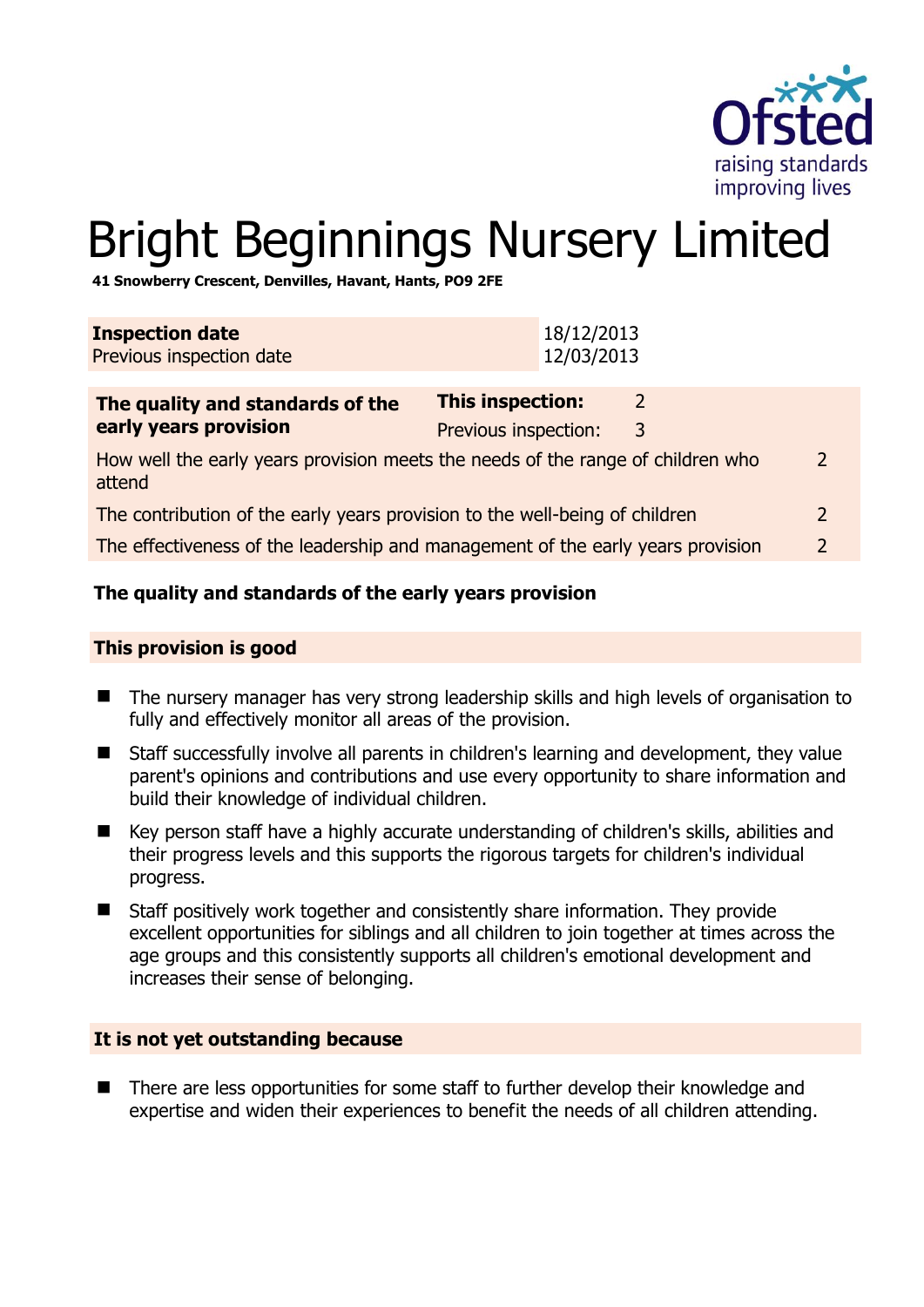

# Bright Beginnings Nursery Limited

**41 Snowberry Crescent, Denvilles, Havant, Hants, PO9 2FE** 

| <b>Inspection date</b><br>Previous inspection date                                                         |                      | 18/12/2013<br>12/03/2013 |   |   |
|------------------------------------------------------------------------------------------------------------|----------------------|--------------------------|---|---|
| The quality and standards of the                                                                           | This inspection:     |                          | 2 |   |
| early years provision                                                                                      | Previous inspection: |                          | 3 |   |
| How well the early years provision meets the needs of the range of children who<br>$\mathcal{P}$<br>attend |                      |                          |   |   |
| The contribution of the early years provision to the well-being of children                                |                      |                          |   |   |
| The effectiveness of the leadership and management of the early years provision                            |                      |                          |   | 2 |
|                                                                                                            |                      |                          |   |   |

# **The quality and standards of the early years provision**

#### **This provision is good**

- The nursery manager has very strong leadership skills and high levels of organisation to fully and effectively monitor all areas of the provision.
- Staff successfully involve all parents in children's learning and development, they value parent's opinions and contributions and use every opportunity to share information and build their knowledge of individual children.
- Key person staff have a highly accurate understanding of children's skills, abilities and their progress levels and this supports the rigorous targets for children's individual progress.
- Staff positively work together and consistently share information. They provide excellent opportunities for siblings and all children to join together at times across the age groups and this consistently supports all children's emotional development and increases their sense of belonging.

#### **It is not yet outstanding because**

■ There are less opportunities for some staff to further develop their knowledge and expertise and widen their experiences to benefit the needs of all children attending.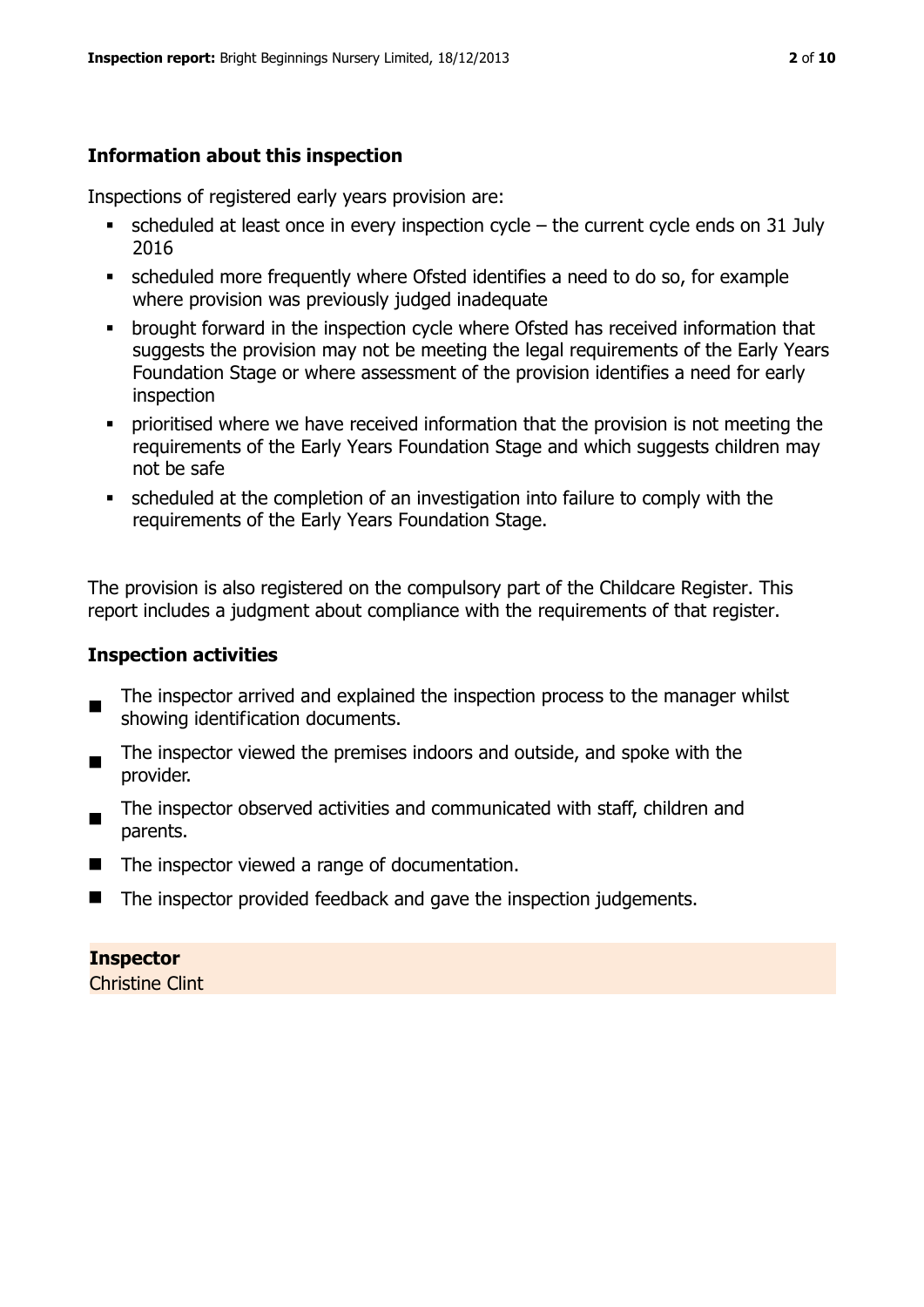# **Information about this inspection**

Inspections of registered early years provision are:

- $\blacksquare$  scheduled at least once in every inspection cycle the current cycle ends on 31 July 2016
- scheduled more frequently where Ofsted identifies a need to do so, for example where provision was previously judged inadequate
- **•** brought forward in the inspection cycle where Ofsted has received information that suggests the provision may not be meeting the legal requirements of the Early Years Foundation Stage or where assessment of the provision identifies a need for early inspection
- **•** prioritised where we have received information that the provision is not meeting the requirements of the Early Years Foundation Stage and which suggests children may not be safe
- scheduled at the completion of an investigation into failure to comply with the requirements of the Early Years Foundation Stage.

The provision is also registered on the compulsory part of the Childcare Register. This report includes a judgment about compliance with the requirements of that register.

## **Inspection activities**

- $\blacksquare$ The inspector arrived and explained the inspection process to the manager whilst showing identification documents.
- $\blacksquare$ The inspector viewed the premises indoors and outside, and spoke with the provider.
- The inspector observed activities and communicated with staff, children and parents.
- The inspector viewed a range of documentation.
- The inspector provided feedback and gave the inspection judgements.

# **Inspector**

Christine Clint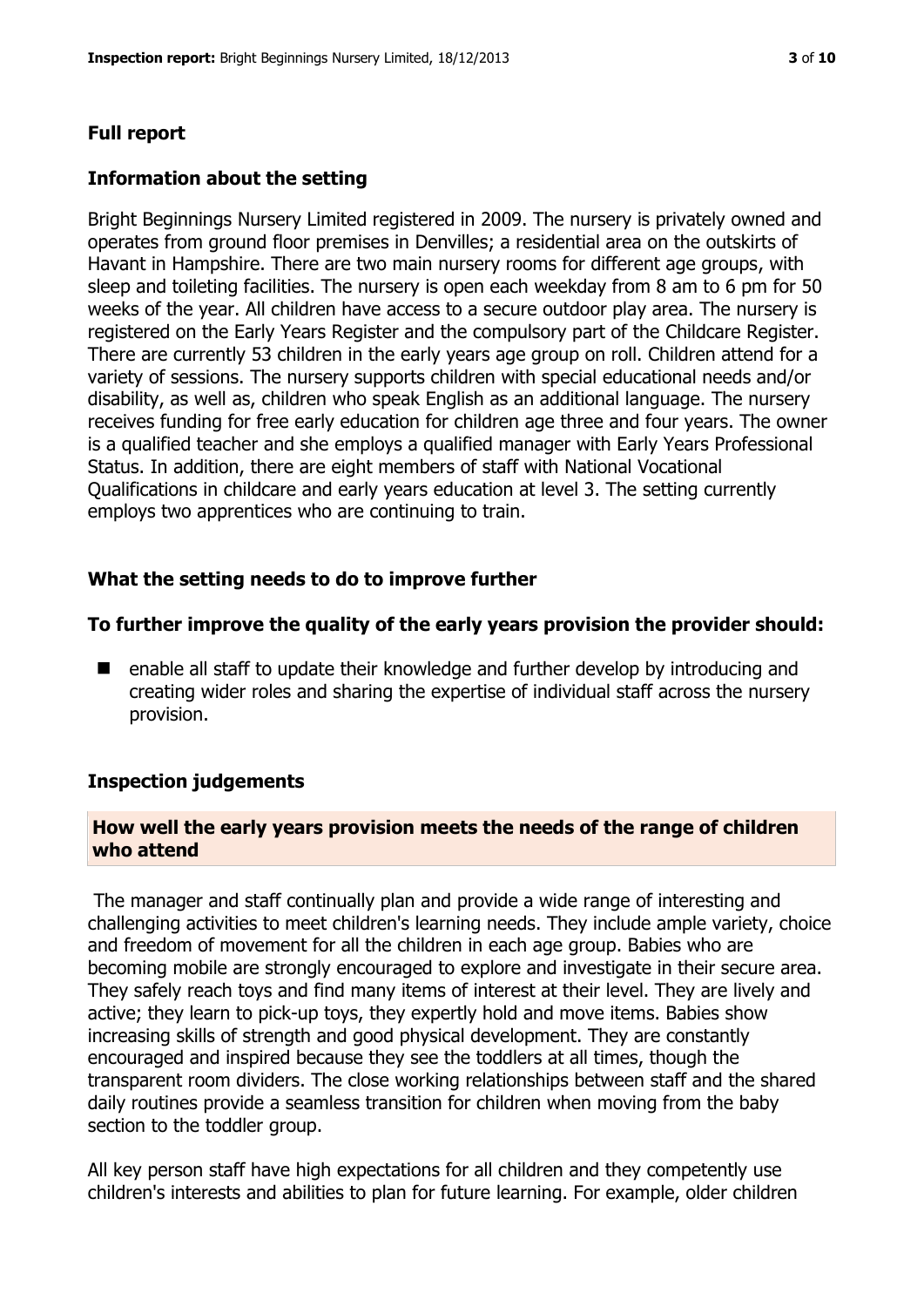# **Full report**

## **Information about the setting**

Bright Beginnings Nursery Limited registered in 2009. The nursery is privately owned and operates from ground floor premises in Denvilles; a residential area on the outskirts of Havant in Hampshire. There are two main nursery rooms for different age groups, with sleep and toileting facilities. The nursery is open each weekday from 8 am to 6 pm for 50 weeks of the year. All children have access to a secure outdoor play area. The nursery is registered on the Early Years Register and the compulsory part of the Childcare Register. There are currently 53 children in the early years age group on roll. Children attend for a variety of sessions. The nursery supports children with special educational needs and/or disability, as well as, children who speak English as an additional language. The nursery receives funding for free early education for children age three and four years. The owner is a qualified teacher and she employs a qualified manager with Early Years Professional Status. In addition, there are eight members of staff with National Vocational Qualifications in childcare and early years education at level 3. The setting currently employs two apprentices who are continuing to train.

# **What the setting needs to do to improve further**

#### **To further improve the quality of the early years provision the provider should:**

■ enable all staff to update their knowledge and further develop by introducing and creating wider roles and sharing the expertise of individual staff across the nursery provision.

#### **Inspection judgements**

#### **How well the early years provision meets the needs of the range of children who attend**

The manager and staff continually plan and provide a wide range of interesting and challenging activities to meet children's learning needs. They include ample variety, choice and freedom of movement for all the children in each age group. Babies who are becoming mobile are strongly encouraged to explore and investigate in their secure area. They safely reach toys and find many items of interest at their level. They are lively and active; they learn to pick-up toys, they expertly hold and move items. Babies show increasing skills of strength and good physical development. They are constantly encouraged and inspired because they see the toddlers at all times, though the transparent room dividers. The close working relationships between staff and the shared daily routines provide a seamless transition for children when moving from the baby section to the toddler group.

All key person staff have high expectations for all children and they competently use children's interests and abilities to plan for future learning. For example, older children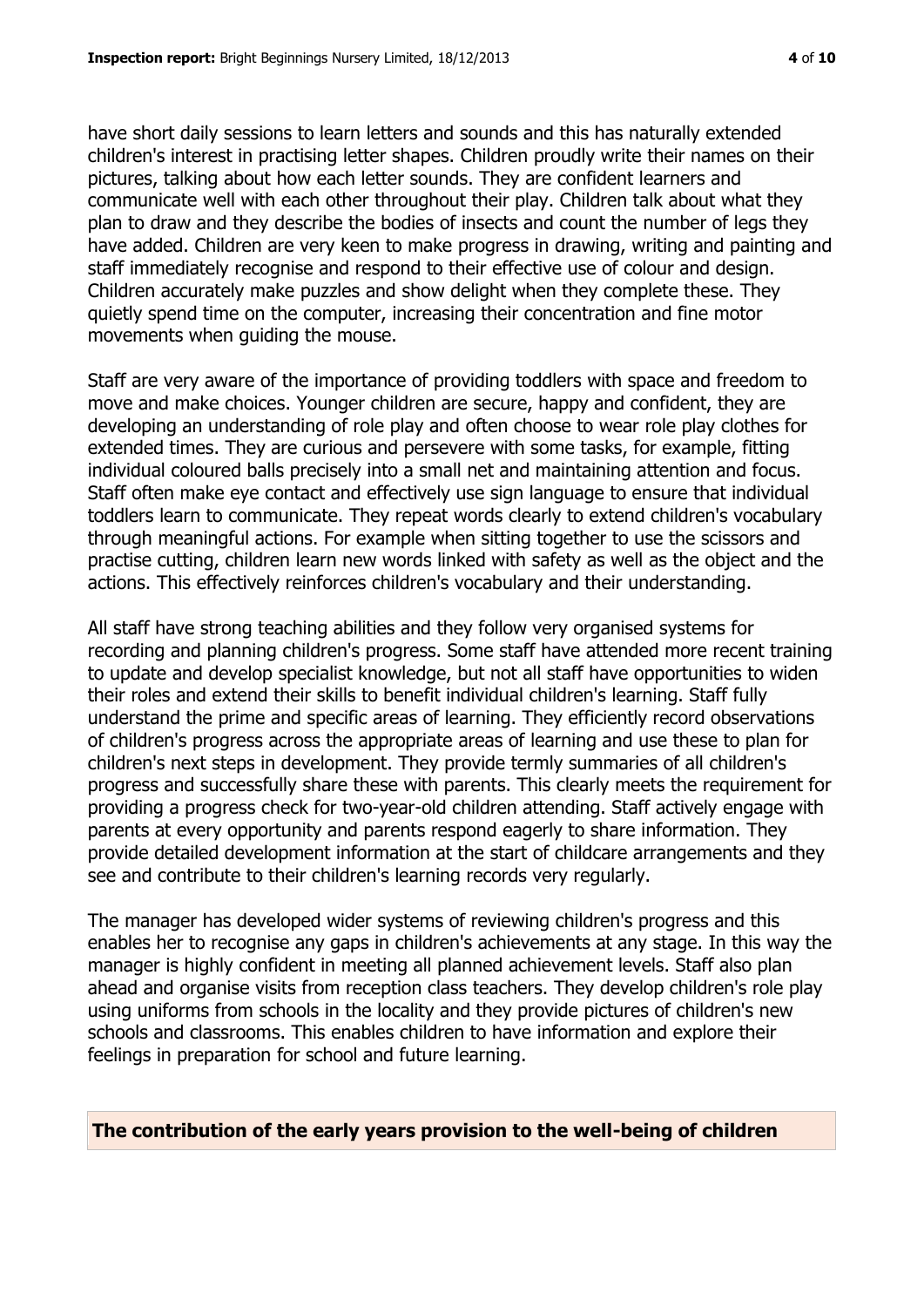have short daily sessions to learn letters and sounds and this has naturally extended children's interest in practising letter shapes. Children proudly write their names on their pictures, talking about how each letter sounds. They are confident learners and communicate well with each other throughout their play. Children talk about what they plan to draw and they describe the bodies of insects and count the number of legs they have added. Children are very keen to make progress in drawing, writing and painting and staff immediately recognise and respond to their effective use of colour and design. Children accurately make puzzles and show delight when they complete these. They quietly spend time on the computer, increasing their concentration and fine motor movements when guiding the mouse.

Staff are very aware of the importance of providing toddlers with space and freedom to move and make choices. Younger children are secure, happy and confident, they are developing an understanding of role play and often choose to wear role play clothes for extended times. They are curious and persevere with some tasks, for example, fitting individual coloured balls precisely into a small net and maintaining attention and focus. Staff often make eye contact and effectively use sign language to ensure that individual toddlers learn to communicate. They repeat words clearly to extend children's vocabulary through meaningful actions. For example when sitting together to use the scissors and practise cutting, children learn new words linked with safety as well as the object and the actions. This effectively reinforces children's vocabulary and their understanding.

All staff have strong teaching abilities and they follow very organised systems for recording and planning children's progress. Some staff have attended more recent training to update and develop specialist knowledge, but not all staff have opportunities to widen their roles and extend their skills to benefit individual children's learning. Staff fully understand the prime and specific areas of learning. They efficiently record observations of children's progress across the appropriate areas of learning and use these to plan for children's next steps in development. They provide termly summaries of all children's progress and successfully share these with parents. This clearly meets the requirement for providing a progress check for two-year-old children attending. Staff actively engage with parents at every opportunity and parents respond eagerly to share information. They provide detailed development information at the start of childcare arrangements and they see and contribute to their children's learning records very regularly.

The manager has developed wider systems of reviewing children's progress and this enables her to recognise any gaps in children's achievements at any stage. In this way the manager is highly confident in meeting all planned achievement levels. Staff also plan ahead and organise visits from reception class teachers. They develop children's role play using uniforms from schools in the locality and they provide pictures of children's new schools and classrooms. This enables children to have information and explore their feelings in preparation for school and future learning.

**The contribution of the early years provision to the well-being of children**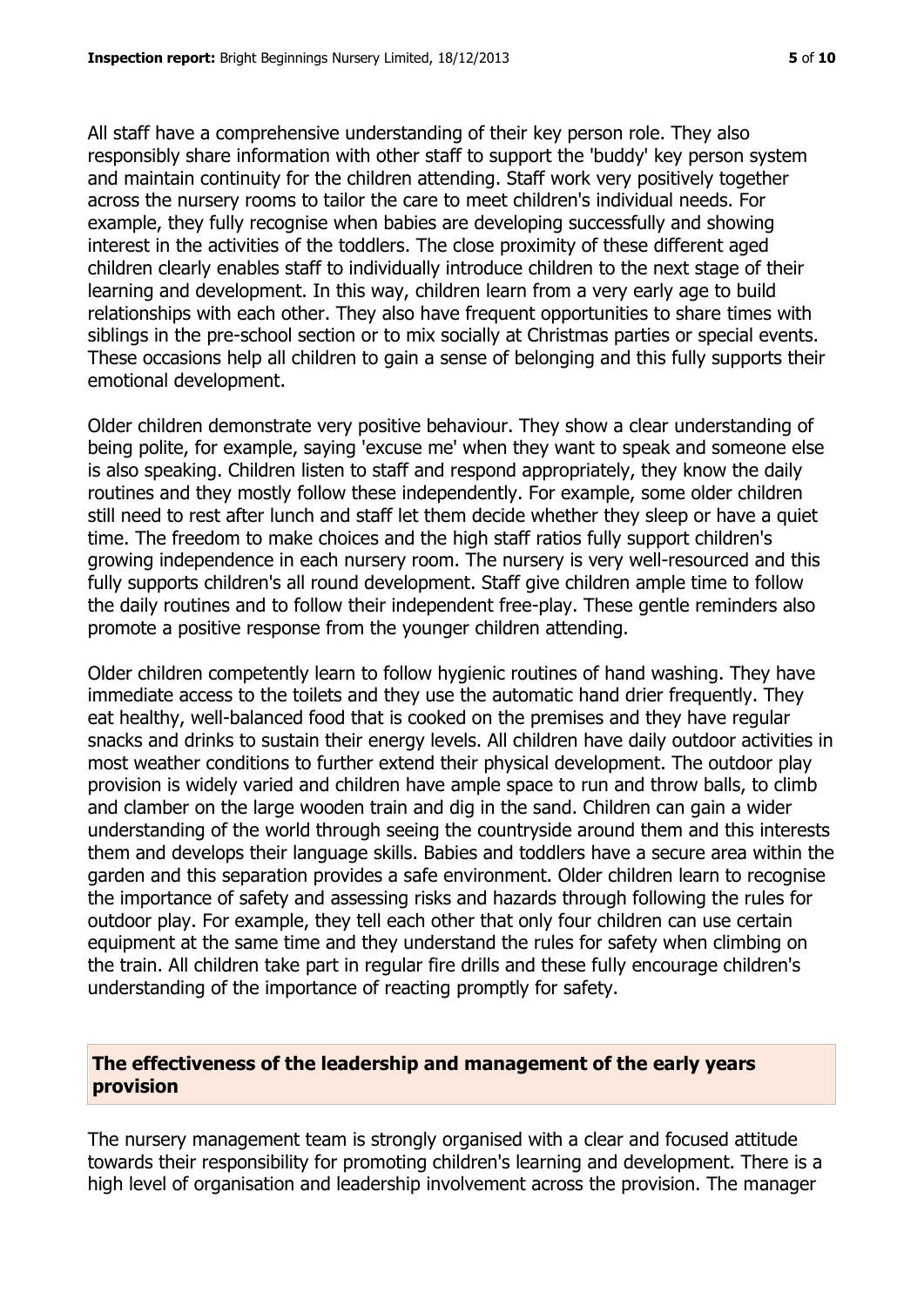All staff have a comprehensive understanding of their key person role. They also responsibly share information with other staff to support the 'buddy' key person system and maintain continuity for the children attending. Staff work very positively together across the nursery rooms to tailor the care to meet children's individual needs. For example, they fully recognise when babies are developing successfully and showing interest in the activities of the toddlers. The close proximity of these different aged children clearly enables staff to individually introduce children to the next stage of their learning and development. In this way, children learn from a very early age to build relationships with each other. They also have frequent opportunities to share times with siblings in the pre-school section or to mix socially at Christmas parties or special events. These occasions help all children to gain a sense of belonging and this fully supports their emotional development.

Older children demonstrate very positive behaviour. They show a clear understanding of being polite, for example, saying 'excuse me' when they want to speak and someone else is also speaking. Children listen to staff and respond appropriately, they know the daily routines and they mostly follow these independently. For example, some older children still need to rest after lunch and staff let them decide whether they sleep or have a quiet time. The freedom to make choices and the high staff ratios fully support children's growing independence in each nursery room. The nursery is very well-resourced and this fully supports children's all round development. Staff give children ample time to follow the daily routines and to follow their independent free-play. These gentle reminders also promote a positive response from the younger children attending.

Older children competently learn to follow hygienic routines of hand washing. They have immediate access to the toilets and they use the automatic hand drier frequently. They eat healthy, well-balanced food that is cooked on the premises and they have regular snacks and drinks to sustain their energy levels. All children have daily outdoor activities in most weather conditions to further extend their physical development. The outdoor play provision is widely varied and children have ample space to run and throw balls, to climb and clamber on the large wooden train and dig in the sand. Children can gain a wider understanding of the world through seeing the countryside around them and this interests them and develops their language skills. Babies and toddlers have a secure area within the garden and this separation provides a safe environment. Older children learn to recognise the importance of safety and assessing risks and hazards through following the rules for outdoor play. For example, they tell each other that only four children can use certain equipment at the same time and they understand the rules for safety when climbing on the train. All children take part in regular fire drills and these fully encourage children's understanding of the importance of reacting promptly for safety.

# **The effectiveness of the leadership and management of the early years provision**

The nursery management team is strongly organised with a clear and focused attitude towards their responsibility for promoting children's learning and development. There is a high level of organisation and leadership involvement across the provision. The manager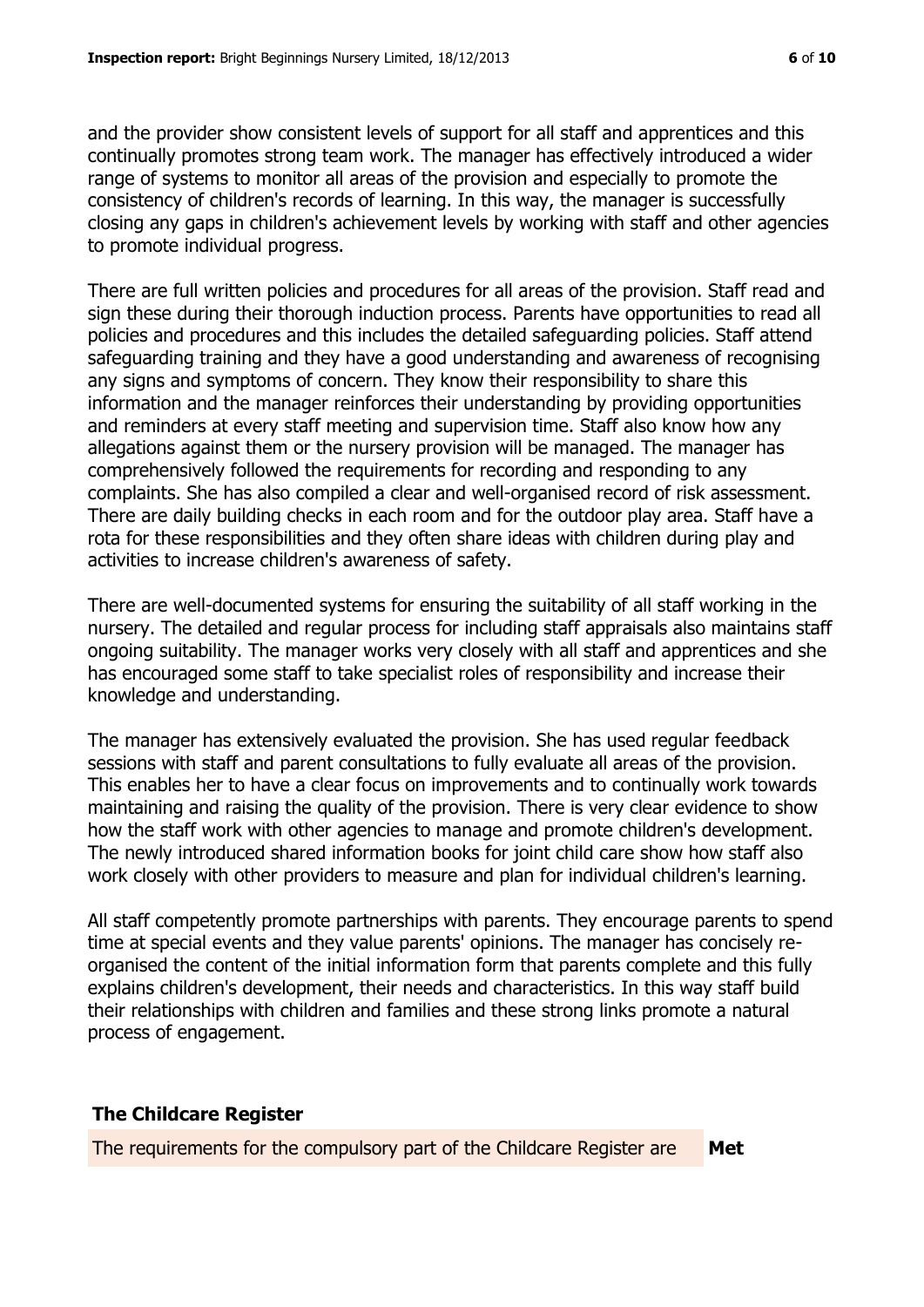and the provider show consistent levels of support for all staff and apprentices and this continually promotes strong team work. The manager has effectively introduced a wider

range of systems to monitor all areas of the provision and especially to promote the consistency of children's records of learning. In this way, the manager is successfully closing any gaps in children's achievement levels by working with staff and other agencies to promote individual progress.

There are full written policies and procedures for all areas of the provision. Staff read and sign these during their thorough induction process. Parents have opportunities to read all policies and procedures and this includes the detailed safeguarding policies. Staff attend safeguarding training and they have a good understanding and awareness of recognising any signs and symptoms of concern. They know their responsibility to share this information and the manager reinforces their understanding by providing opportunities and reminders at every staff meeting and supervision time. Staff also know how any allegations against them or the nursery provision will be managed. The manager has comprehensively followed the requirements for recording and responding to any complaints. She has also compiled a clear and well-organised record of risk assessment. There are daily building checks in each room and for the outdoor play area. Staff have a rota for these responsibilities and they often share ideas with children during play and activities to increase children's awareness of safety.

There are well-documented systems for ensuring the suitability of all staff working in the nursery. The detailed and regular process for including staff appraisals also maintains staff ongoing suitability. The manager works very closely with all staff and apprentices and she has encouraged some staff to take specialist roles of responsibility and increase their knowledge and understanding.

The manager has extensively evaluated the provision. She has used regular feedback sessions with staff and parent consultations to fully evaluate all areas of the provision. This enables her to have a clear focus on improvements and to continually work towards maintaining and raising the quality of the provision. There is very clear evidence to show how the staff work with other agencies to manage and promote children's development. The newly introduced shared information books for joint child care show how staff also work closely with other providers to measure and plan for individual children's learning.

All staff competently promote partnerships with parents. They encourage parents to spend time at special events and they value parents' opinions. The manager has concisely reorganised the content of the initial information form that parents complete and this fully explains children's development, their needs and characteristics. In this way staff build their relationships with children and families and these strong links promote a natural process of engagement.

# **The Childcare Register**

The requirements for the compulsory part of the Childcare Register are **Met**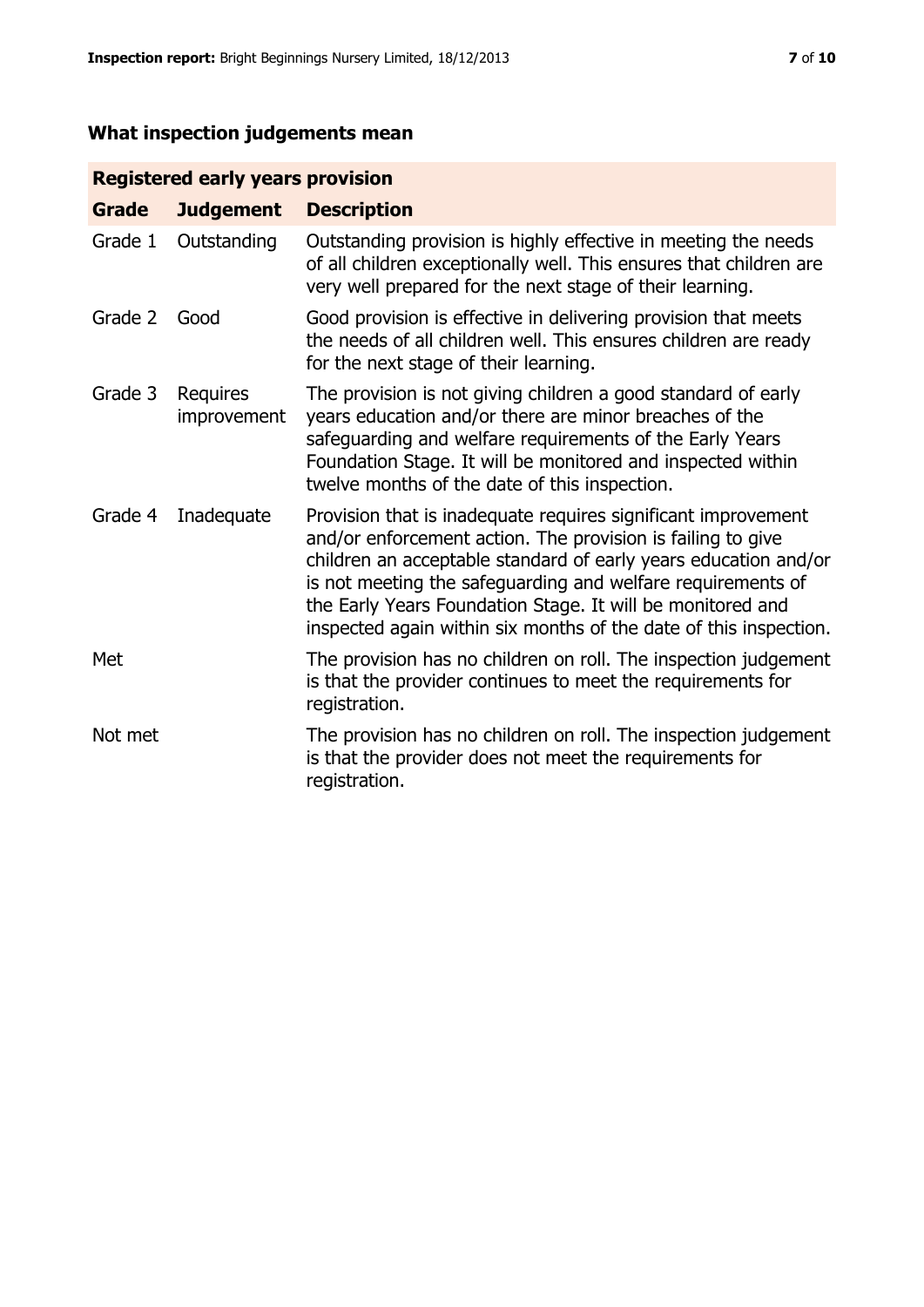# **What inspection judgements mean**

# **Registered early years provision**

| <b>Grade</b> | <b>Judgement</b>        | <b>Description</b>                                                                                                                                                                                                                                                                                                                                                                                |
|--------------|-------------------------|---------------------------------------------------------------------------------------------------------------------------------------------------------------------------------------------------------------------------------------------------------------------------------------------------------------------------------------------------------------------------------------------------|
| Grade 1      | Outstanding             | Outstanding provision is highly effective in meeting the needs<br>of all children exceptionally well. This ensures that children are<br>very well prepared for the next stage of their learning.                                                                                                                                                                                                  |
| Grade 2      | Good                    | Good provision is effective in delivering provision that meets<br>the needs of all children well. This ensures children are ready<br>for the next stage of their learning.                                                                                                                                                                                                                        |
| Grade 3      | Requires<br>improvement | The provision is not giving children a good standard of early<br>years education and/or there are minor breaches of the<br>safeguarding and welfare requirements of the Early Years<br>Foundation Stage. It will be monitored and inspected within<br>twelve months of the date of this inspection.                                                                                               |
| Grade 4      | Inadequate              | Provision that is inadequate requires significant improvement<br>and/or enforcement action. The provision is failing to give<br>children an acceptable standard of early years education and/or<br>is not meeting the safeguarding and welfare requirements of<br>the Early Years Foundation Stage. It will be monitored and<br>inspected again within six months of the date of this inspection. |
| Met          |                         | The provision has no children on roll. The inspection judgement<br>is that the provider continues to meet the requirements for<br>registration.                                                                                                                                                                                                                                                   |
| Not met      |                         | The provision has no children on roll. The inspection judgement<br>is that the provider does not meet the requirements for<br>registration.                                                                                                                                                                                                                                                       |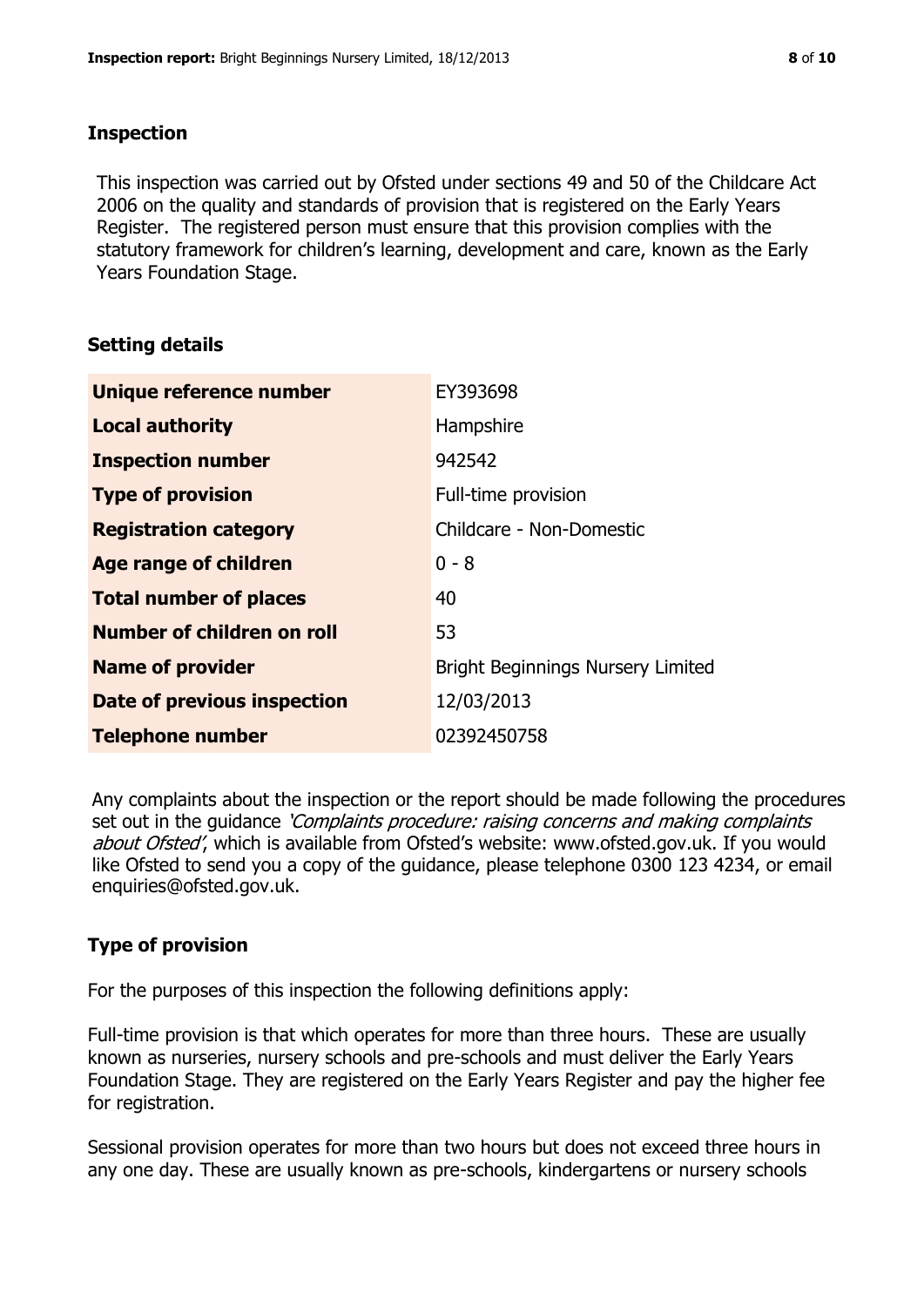#### **Inspection**

This inspection was carried out by Ofsted under sections 49 and 50 of the Childcare Act 2006 on the quality and standards of provision that is registered on the Early Years Register. The registered person must ensure that this provision complies with the statutory framework for children's learning, development and care, known as the Early Years Foundation Stage.

# **Setting details**

| Unique reference number       | EY393698                                 |
|-------------------------------|------------------------------------------|
| <b>Local authority</b>        | Hampshire                                |
| <b>Inspection number</b>      | 942542                                   |
| <b>Type of provision</b>      | Full-time provision                      |
| <b>Registration category</b>  | Childcare - Non-Domestic                 |
| <b>Age range of children</b>  | $0 - 8$                                  |
| <b>Total number of places</b> | 40                                       |
| Number of children on roll    | 53                                       |
| <b>Name of provider</b>       | <b>Bright Beginnings Nursery Limited</b> |
| Date of previous inspection   | 12/03/2013                               |
| <b>Telephone number</b>       | 02392450758                              |

Any complaints about the inspection or the report should be made following the procedures set out in the guidance *'Complaints procedure: raising concerns and making complaints* about Ofsted', which is available from Ofsted's website: www.ofsted.gov.uk. If you would like Ofsted to send you a copy of the guidance, please telephone 0300 123 4234, or email enquiries@ofsted.gov.uk.

# **Type of provision**

For the purposes of this inspection the following definitions apply:

Full-time provision is that which operates for more than three hours. These are usually known as nurseries, nursery schools and pre-schools and must deliver the Early Years Foundation Stage. They are registered on the Early Years Register and pay the higher fee for registration.

Sessional provision operates for more than two hours but does not exceed three hours in any one day. These are usually known as pre-schools, kindergartens or nursery schools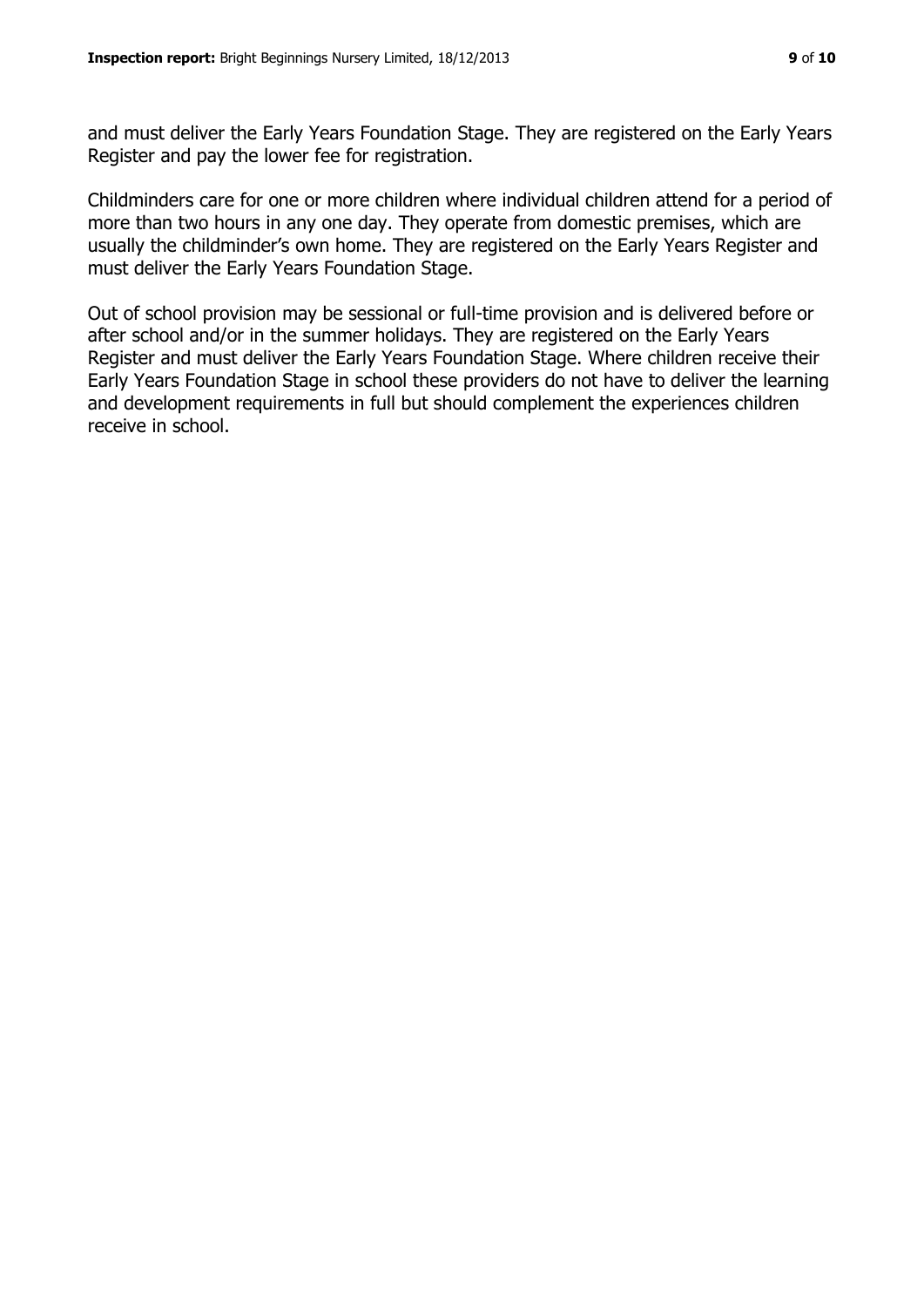and must deliver the Early Years Foundation Stage. They are registered on the Early Years Register and pay the lower fee for registration.

Childminders care for one or more children where individual children attend for a period of more than two hours in any one day. They operate from domestic premises, which are usually the childminder's own home. They are registered on the Early Years Register and must deliver the Early Years Foundation Stage.

Out of school provision may be sessional or full-time provision and is delivered before or after school and/or in the summer holidays. They are registered on the Early Years Register and must deliver the Early Years Foundation Stage. Where children receive their Early Years Foundation Stage in school these providers do not have to deliver the learning and development requirements in full but should complement the experiences children receive in school.